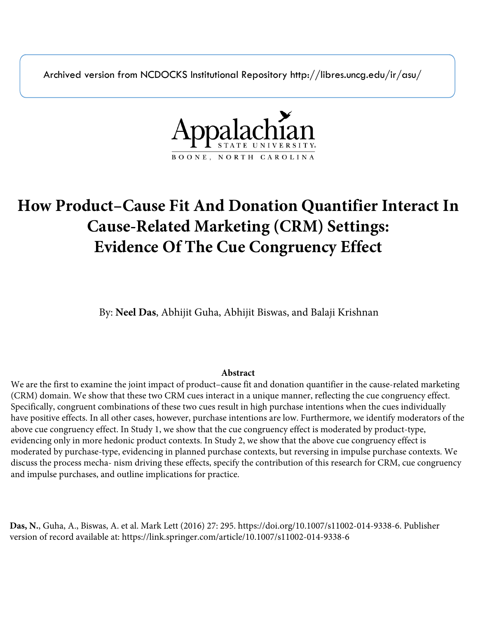Archived version from NCDOCKS Institutional Repository http://libres.uncg.edu/ir/asu/



# **How Product–Cause Fit And Donation Quantifier Interact In Cause-Related Marketing (CRM) Settings: Evidence Of The Cue Congruency Effect**

By: **Neel Das**, Abhijit Guha, Abhijit Biswas, and Balaji Krishnan

# **Abstract**

We are the first to examine the joint impact of product–cause fit and donation quantifier in the cause-related marketing (CRM) domain. We show that these two CRM cues interact in a unique manner, reflecting the cue congruency effect. Specifically, congruent combinations of these two cues result in high purchase intentions when the cues individually have positive effects. In all other cases, however, purchase intentions are low. Furthermore, we identify moderators of the above cue congruency effect. In Study 1, we show that the cue congruency effect is moderated by product-type, evidencing only in more hedonic product contexts. In Study 2, we show that the above cue congruency effect is moderated by purchase-type, evidencing in planned purchase contexts, but reversing in impulse purchase contexts. We discuss the process mecha- nism driving these effects, specify the contribution of this research for CRM, cue congruency and impulse purchases, and outline implications for practice.

**Das, N.**, Guha, A., Biswas, A. et al. Mark Lett (2016) 27: 295. https://doi.org/10.1007/s11002-014-9338-6. Publisher version of record available at: https://link.springer.com/article/10.1007/s11002-014-9338-6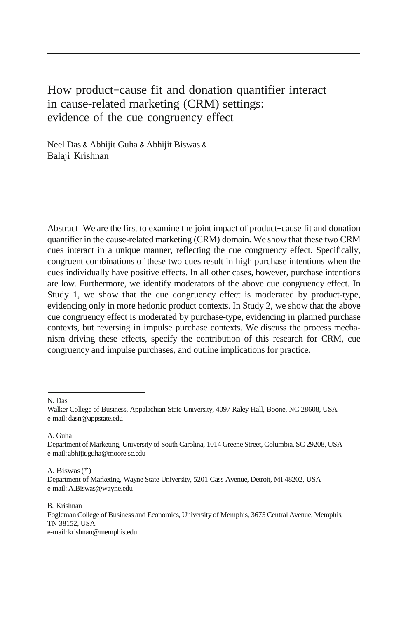# How product–cause fit and donation quantifier interact in cause-related marketing (CRM) settings: evidence of the cue congruency effect

Neel Das & Abhijit Guha & Abhijit Biswas & Balaji Krishnan

Abstract We are the first to examine the joint impact of product–cause fit and donation quantifier in the cause-related marketing (CRM) domain. We show that these two CRM cues interact in a unique manner, reflecting the cue congruency effect. Specifically, congruent combinations of these two cues result in high purchase intentions when the cues individually have positive effects. In all other cases, however, purchase intentions are low. Furthermore, we identify moderators of the above cue congruency effect. In Study 1, we show that the cue congruency effect is moderated by product-type, evidencing only in more hedonic product contexts. In Study 2, we show that the above cue congruency effect is moderated by purchase-type, evidencing in planned purchase contexts, but reversing in impulse purchase contexts. We discuss the process mechanism driving these effects, specify the contribution of this research for CRM, cue congruency and impulse purchases, and outline implications for practice.

N. Das

A. Guha

A. Biswas(\*)

B. Krishnan Fogleman College of Business and Economics, University of Memphis, 3675 Central Avenue, Memphis, TN 38152, USA e-mail[:krishnan@memphis.edu](mailto:krishnan@memphis.edu)

Walker College of Business, Appalachian State University, 4097 Raley Hall, Boone, NC 28608, USA e-mail: [dasn@appstate.edu](mailto:dasn@appstate.edu)

Department of Marketing, University of South Carolina, 1014 Greene Street, Columbia, SC 29208, USA e-mail[:abhijit.guha@moore.sc.edu](mailto:abhijit.guha@moore.sc.edu)

Department of Marketing, Wayne State University, 5201 Cass Avenue, Detroit, MI 48202, USA e-mail: [A.Biswas@wayne.edu](mailto:A.Biswas@wayne.edu)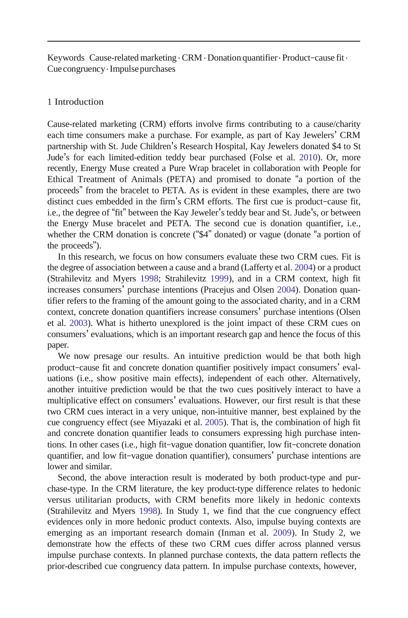Keywords Cause-related marketing  $\cdot$  CRM  $\cdot$  Donation quantifier  $\cdot$  Product–cause fit  $\cdot$ Cue congruency. Impulsepurchases

#### 1 Introduction

Cause-related marketing (CRM) efforts involve firms contributing to a cause/charity each time consumers make a purchase. For example, as part of Kay Jewelers' CRM partnership with St. Jude Children's Research Hospital, Kay Jewelers donated \$4 to St Jude's for each limited-edition teddy bear purchased (Folse et al. [2010\)](#page-14-0). Or, more recently, Energy Muse created a Pure Wrap bracelet in collaboration with People for Ethical Treatment of Animals (PETA) and promised to donate "a portion of the proceeds" from the bracelet to PETA. As is evident in these examples, there are two distinct cues embedded in the firm's CRM efforts. The first cue is product–cause fit, i.e., the degree of "fit" between the Kay Jeweler's teddy bear and St. Jude's, or between the Energy Muse bracelet and PETA. The second cue is donation quantifier, i.e., whether the CRM donation is concrete ("\$4" donated) or vague (donate "a portion of the proceeds").

In this research, we focus on how consumers evaluate these two CRM cues. Fit is the degree of association between a cause and a brand (Lafferty et al[. 2004\)](#page-14-1) or a product (Strahilevitz and Myers [1998;](#page-14-2) Strahilevitz [1999\)](#page-14-3), and in a CRM context, high fit increases consumers' purchase intentions (Pracejus and Olsen [2004\)](#page-14-4). Donation quantifier refers to the framing of the amount going to the associated charity, and in a CRM context, concrete donation quantifiers increase consumers' purchase intentions (Olsen et al. [2003\)](#page-14-5). What is hitherto unexplored is the joint impact of these CRM cues on consumers' evaluations, which is an important research gap and hence the focus of this paper.

We now presage our results. An intuitive prediction would be that both high product–cause fit and concrete donation quantifier positively impact consumers' evaluations (i.e., show positive main effects), independent of each other. Alternatively, another intuitive prediction would be that the two cues positively interact to have a multiplicative effect on consumers' evaluations. However, our first result is that these two CRM cues interact in a very unique, non-intuitive manner, best explained by the cue congruency effect (see Miyazaki et al. [2005\)](#page-14-6). That is, the combination of high fit and concrete donation quantifier leads to consumers expressing high purchase intentions. In other cases (i.e., high fit–vague donation quantifier, low fit–concrete donation quantifier, and low fit–vague donation quantifier), consumers' purchase intentions are lower and similar.

Second, the above interaction result is moderated by both product-type and purchase-type. In the CRM literature, the key product-type difference relates to hedonic versus utilitarian products, with CRM benefits more likely in hedonic contexts (Strahilevitz and Myers [1998\)](#page-14-2). In Study 1, we find that the cue congruency effect evidences only in more hedonic product contexts. Also, impulse buying contexts are emerging as an important research domain (Inman et al. [2009\)](#page-14-7). In Study 2, we demonstrate how the effects of these two CRM cues differ across planned versus impulse purchase contexts. In planned purchase contexts, the data pattern reflects the prior-described cue congruency data pattern. In impulse purchase contexts, however,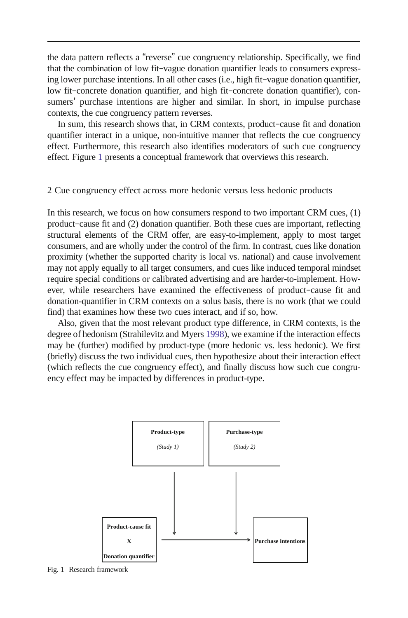<span id="page-3-0"></span>the data pattern reflects a "reverse" cue congruency relationship. Specifically, we find that the combination of low fit–vague donation quantifier leads to consumers expressing lower purchase intentions. In all other cases (i.e., high fit–vague donation quantifier, low fit–concrete donation quantifier, and high fit–concrete donation quantifier), consumers' purchase intentions are higher and similar. In short, in impulse purchase contexts, the cue congruency pattern reverses.

In sum, this research shows that, in CRM contexts, product–cause fit and donation quantifier interact in a unique, non-intuitive manner that reflects the cue congruency effect. Furthermore, this research also identifies moderators of such cue congruency effect. Figure [1](#page-3-0) presents a conceptual framework that overviews this research.

#### 2 Cue congruency effect across more hedonic versus less hedonic products

In this research, we focus on how consumers respond to two important CRM cues, (1) product–cause fit and (2) donation quantifier. Both these cues are important, reflecting structural elements of the CRM offer, are easy-to-implement, apply to most target consumers, and are wholly under the control of the firm. In contrast, cues like donation proximity (whether the supported charity is local vs. national) and cause involvement may not apply equally to all target consumers, and cues like induced temporal mindset require special conditions or calibrated advertising and are harder-to-implement. However, while researchers have examined the effectiveness of product–cause fit and donation-quantifier in CRM contexts on a solus basis, there is no work (that we could find) that examines how these two cues interact, and if so, how.

Also, given that the most relevant product type difference, in CRM contexts, is the degree of hedonism (Strahilevitz and Myers [1998\)](#page-14-2), we examine if the interaction effects may be (further) modified by product-type (more hedonic vs. less hedonic). We first (briefly) discuss the two individual cues, then hypothesize about their interaction effect (which reflects the cue congruency effect), and finally discuss how such cue congruency effect may be impacted by differences in product-type.



Fig. 1 Research framework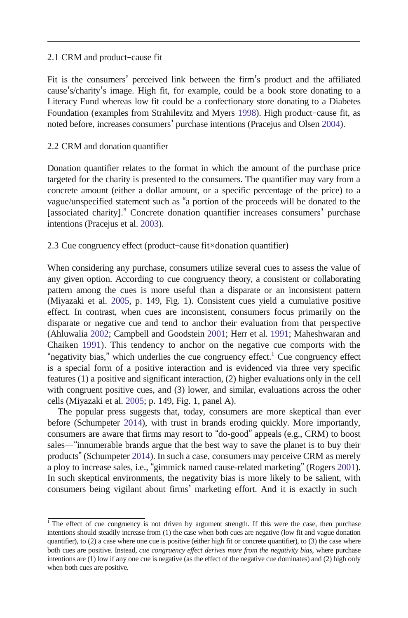#### 2.1 CRM and product–cause fit

Fit is the consumers' perceived link between the firm's product and the affiliated cause's/charity's image. High fit, for example, could be a book store donating to a Literacy Fund whereas low fit could be a confectionary store donating to a Diabetes Foundation (examples from Strahilevitz and Myers [1998\)](#page-14-2). High product–cause fit, as noted before, increases consumers' purchase intentions (Pracejus and Olsen [2004\)](#page-14-4).

# 2.2 CRM and donation quantifier

Donation quantifier relates to the format in which the amount of the purchase price targeted for the charity is presented to the consumers. The quantifier may vary from a concrete amount (either a dollar amount, or a specific percentage of the price) to a vague/unspecified statement such as "a portion of the proceeds will be donated to the [associated charity]." Concrete donation quantifier increases consumers' purchase intentions (Pracejus et al[. 2003\)](#page-14-8).

# 2.3 Cue congruency effect (product–cause fit×donation quantifier)

When considering any purchase, consumers utilize several cues to assess the value of any given option. According to cue congruency theory, a consistent or collaborating pattern among the cues is more useful than a disparate or an inconsistent pattern (Miyazaki et al. [2005,](#page-14-6) p. 149, Fig. 1). Consistent cues yield a cumulative positive effect. In contrast, when cues are inconsistent, consumers focus primarily on the disparate or negative cue and tend to anchor their evaluation from that perspective (Ahluwalia [2002;](#page-14-9) Campbell and Goodstein [2001;](#page-14-10) Herr et al. [1991;](#page-14-11) Maheshwaran and Chaiken [1991\)](#page-14-12). This tendency to anchor on the negative cue comports with the "negativity bias," which underlies the cue congruency effect.<sup>1</sup> Cue congruency effect is a special form of a positive interaction and is evidenced via three very specific features (1) a positive and significant interaction, (2) higher evaluations only in the cell with congruent positive cues, and (3) lower, and similar, evaluations across the other cells (Miyazaki et al. [2005;](#page-14-6) p. 149, Fig. 1, panel A).

The popular press suggests that, today, consumers are more skeptical than ever before (Schumpeter [2014\)](#page-14-13), with trust in brands eroding quickly. More importantly, consumers are aware that firms may resort to "do-good" appeals (e.g., CRM) to boost sales—"innumerable brands argue that the best way to save the planet is to buy their products" (Schumpeter [2014\)](#page-14-13). In such a case, consumers may perceive CRM as merely a ploy to increase sales, i.e., "gimmick named cause-related marketing" (Rogers [2001\)](#page-14-14). In such skeptical environments, the negativity bias is more likely to be salient, with consumers being vigilant about firms' marketing effort. And it is exactly in such

<sup>&</sup>lt;sup>1</sup> The effect of cue congruency is not driven by argument strength. If this were the case, then purchase intentions should steadily increase from (1) the case when both cues are negative (low fit and vague donation quantifier), to (2) a case where one cue is positive (either high fit or concrete quantifier), to (3) the case where both cues are positive. Instead, *cue congruency effect derives more from the negativity bias*, where purchase intentions are (1) low if any one cue is negative (as the effect of the negative cue dominates) and (2) high only when both cues are positive.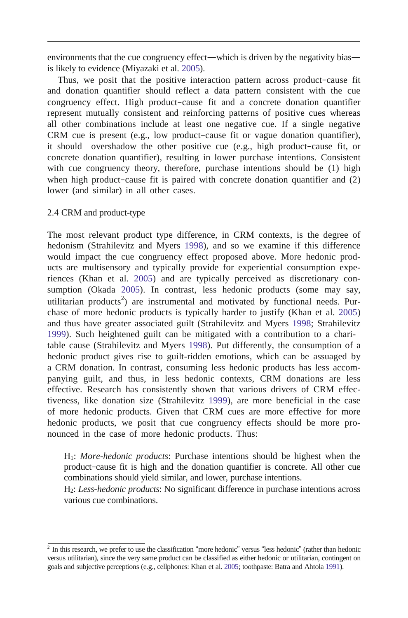environments that the cue congruency effect—which is driven by the negativity bias is likely to evidence (Miyazaki et al. [2005\)](#page-14-6).

Thus, we posit that the positive interaction pattern across product–cause fit and donation quantifier should reflect a data pattern consistent with the cue congruency effect. High product–cause fit and a concrete donation quantifier represent mutually consistent and reinforcing patterns of positive cues whereas all other combinations include at least one negative cue. If a single negative CRM cue is present (e.g., low product–cause fit or vague donation quantifier), it should overshadow the other positive cue (e.g., high product–cause fit, or concrete donation quantifier), resulting in lower purchase intentions. Consistent with cue congruency theory, therefore, purchase intentions should be (1) high when high product-cause fit is paired with concrete donation quantifier and  $(2)$ lower (and similar) in all other cases.

## 2.4 CRM and product-type

The most relevant product type difference, in CRM contexts, is the degree of hedonism (Strahilevitz and Myers [1998\)](#page-14-2), and so we examine if this difference would impact the cue congruency effect proposed above. More hedonic products are multisensory and typically provide for experiential consumption experiences (Khan et al. [2005\)](#page-14-15) and are typically perceived as discretionary consumption (Okada [2005\)](#page-14-16). In contrast, less hedonic products (some may say, utilitarian products<sup>2</sup>) are instrumental and motivated by functional needs. Purchase of more hedonic products is typically harder to justify (Khan et al. [2005\)](#page-14-15) and thus have greater associated guilt (Strahilevitz and Myers [1998;](#page-14-2) Strahilevitz [1999\)](#page-14-3). Such heightened guilt can be mitigated with a contribution to a charitable cause (Strahilevitz and Myers [1998\)](#page-14-2). Put differently, the consumption of a hedonic product gives rise to guilt-ridden emotions, which can be assuaged by a CRM donation. In contrast, consuming less hedonic products has less accompanying guilt, and thus, in less hedonic contexts, CRM donations are less effective. Research has consistently shown that various drivers of CRM effectiveness, like donation size (Strahilevitz [1999\)](#page-14-3), are more beneficial in the case of more hedonic products. Given that CRM cues are more effective for more hedonic products, we posit that cue congruency effects should be more pronounced in the case of more hedonic products. Thus:

H1: *More-hedonic products*: Purchase intentions should be highest when the product–cause fit is high and the donation quantifier is concrete. All other cue combinations should yield similar, and lower, purchase intentions.

H2: *Less-hedonic products*: No significant difference in purchase intentions across various cue combinations.

 $2$  In this research, we prefer to use the classification "more hedonic" versus "less hedonic" (rather than hedonic versus utilitarian), since the very same product can be classified as either hedonic or utilitarian, contingent on goals and subjective perceptions (e.g., cellphones: Khan et al. [2005;](#page-14-15) toothpaste: Batra and Ahtola [1991\).](#page-14-17)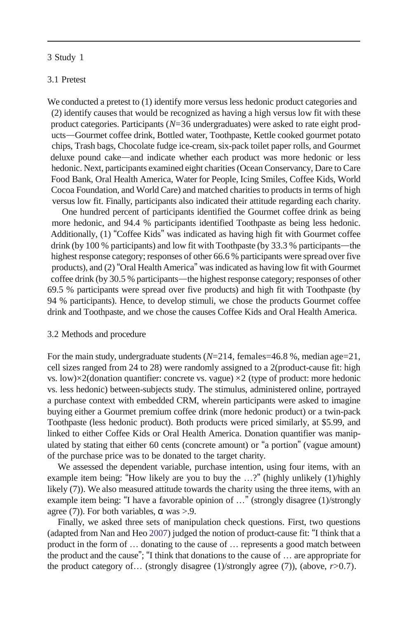#### 3 Study 1

#### 3.1 Pretest

We conducted a pretest to (1) identify more versus less hedonic product categories and (2) identify causes that would be recognized as having a high versus low fit with these product categories. Participants (*N*=36 undergraduates) were asked to rate eight products—Gourmet coffee drink, Bottled water, Toothpaste, Kettle cooked gourmet potato chips, Trash bags, Chocolate fudge ice-cream, six-pack toilet paper rolls, and Gourmet deluxe pound cake—and indicate whether each product was more hedonic or less hedonic. Next, participants examined eight charities(Ocean Conservancy, Dare to Care Food Bank, Oral Health America, Water for People, Icing Smiles, Coffee Kids, World Cocoa Foundation, and World Care) and matched charities to products in terms of high versus low fit. Finally, participants also indicated their attitude regarding each charity.

One hundred percent of participants identified the Gourmet coffee drink as being more hedonic, and 94.4 % participants identified Toothpaste as being less hedonic. Additionally, (1) "Coffee Kids" was indicated as having high fit with Gourmet coffee drink (by 100 % participants) and low fit with Toothpaste (by 33.3 % participants—the highest response category; responses of other 66.6 % participants were spread over five products), and (2)"Oral Health America" wasindicated as having low fit with Gourmet coffee drink (by 30.5 % participants—the highest response category; responses of other 69.5 % participants were spread over five products) and high fit with Toothpaste (by 94 % participants). Hence, to develop stimuli, we chose the products Gourmet coffee drink and Toothpaste, and we chose the causes Coffee Kids and Oral Health America.

#### 3.2 Methods and procedure

For the main study, undergraduate students  $(N=214, \text{ females}=46.8 \text{ %}, \text{median age}=21,$ cell sizes ranged from 24 to 28) were randomly assigned to a 2(product-cause fit: high vs. low) $\times$ 2(donation quantifier: concrete vs. vague)  $\times$ 2 (type of product: more hedonic vs. less hedonic) between-subjects study. The stimulus, administered online, portrayed a purchase context with embedded CRM, wherein participants were asked to imagine buying either a Gourmet premium coffee drink (more hedonic product) or a twin-pack Toothpaste (less hedonic product). Both products were priced similarly, at \$5.99, and linked to either Coffee Kids or Oral Health America. Donation quantifier was manipulated by stating that either 60 cents (concrete amount) or "a portion" (vague amount) of the purchase price was to be donated to the target charity.

We assessed the dependent variable, purchase intention, using four items, with an example item being: "How likely are you to buy the …?" (highly unlikely (1)/highly likely (7)). We also measured attitude towards the charity using the three items, with an example item being: "I have a favorable opinion of …" (strongly disagree (1)/strongly agree (7)). For both variables,  $\alpha$  was >.9.

Finally, we asked three sets of manipulation check questions. First, two questions (adapted from Nan and Heo [2007\)](#page-14-18) judged the notion of product-cause fit: "I think that a product in the form of … donating to the cause of … represents a good match between the product and the cause"; "I think that donations to the cause of … are appropriate for the product category of… (strongly disagree (1)/strongly agree (7)), (above, *r*>0.7).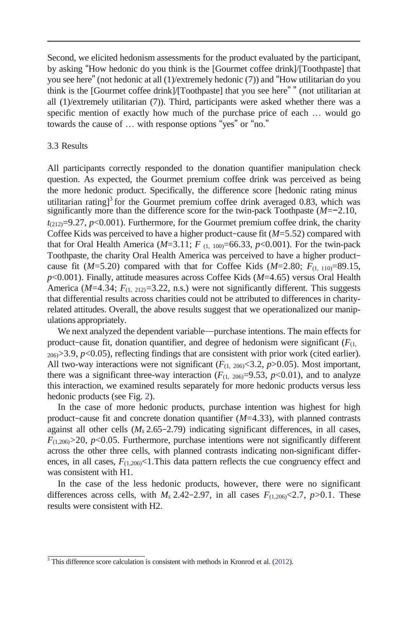Second, we elicited hedonism assessments for the product evaluated by the participant, by asking "How hedonic do you think is the [Gourmet coffee drink]/[Toothpaste] that you see here" (not hedonic at all (1)/extremely hedonic (7)) and "How utilitarian do you think is the [Gourmet coffee drink]/[Toothpaste] that you see here" " (not utilitarian at all (1)/extremely utilitarian (7)). Third, participants were asked whether there was a specific mention of exactly how much of the purchase price of each … would go towards the cause of … with response options "yes" or "no."

#### 3.3 Results

All participants correctly responded to the donation quantifier manipulation check question. As expected, the Gourmet premium coffee drink was perceived as being the more hedonic product. Specifically, the difference score [hedonic rating minus utilitarian rating]<sup>3</sup> for the Gourmet premium coffee drink averaged 0.83, which was significantly more than the difference score for the twin-pack Toothpaste (*M*=−2.10,  $t_{(212)}=9.27$ ,  $p<0.001$ ). Furthermore, for the Gourmet premium coffee drink, the charity Coffee Kids was perceived to have a higher product–cause fit (*M*=5.52) compared with that for Oral Health America ( $M=3.11$ ;  $F_{(1, 100)}=66.33$ ,  $p<0.001$ ). For the twin-pack Toothpaste, the charity Oral Health America was perceived to have a higher product– cause fit ( $M=5.20$ ) compared with that for Coffee Kids ( $M=2.80$ ;  $F_{(1, 110)}=89.15$ , *p*<0.001). Finally, attitude measures across Coffee Kids (*M*=4.65) versus Oral Health America ( $M=4.34$ ;  $F_{(1, 212)}=3.22$ , n.s.) were not significantly different. This suggests that differential results across charities could not be attributed to differences in charityrelated attitudes. Overall, the above results suggest that we operationalized our manipulations appropriately.

We next analyzed the dependent variable—purchase intentions. The main effects for product–cause fit, donation quantifier, and degree of hedonism were significant  $(F_{(1, \ldots)})$  $_{206}$  $>3.9$ ,  $p$ <0.05), reflecting findings that are consistent with prior work (cited earlier). All two-way interactions were not significant  $(F_{(1, 206)} \leq 3.2, p > 0.05)$ . Most important, there was a significant three-way interaction  $(F_{(1, 206)}=9.53, p<0.01)$ , and to analyze this interaction, we examined results separately for more hedonic products versus less hedonic products (see Fig. [2\)](#page-8-0).

In the case of more hedonic products, purchase intention was highest for high product–cause fit and concrete donation quantifier (*M*=4.33), with planned contrasts against all other cells  $(M_s 2.65 - 2.79)$  indicating significant differences, in all cases,  $F_{(1,206)} > 20$ ,  $p < 0.05$ . Furthermore, purchase intentions were not significantly different across the other three cells, with planned contrasts indicating non-significant differences, in all cases,  $F_{(1,206)}$ <1. This data pattern reflects the cue congruency effect and was consistent with H1.

In the case of the less hedonic products, however, there were no significant differences across cells, with  $M_s$  2.42–2.97, in all cases  $F_{(1,206)}$ <2.7,  $p$ >0.1. These results were consistent with H2.

<sup>&</sup>lt;sup>3</sup> This difference score calculation is consistent with methods in Kronrod et al. [\(2012\)](#page-14-19).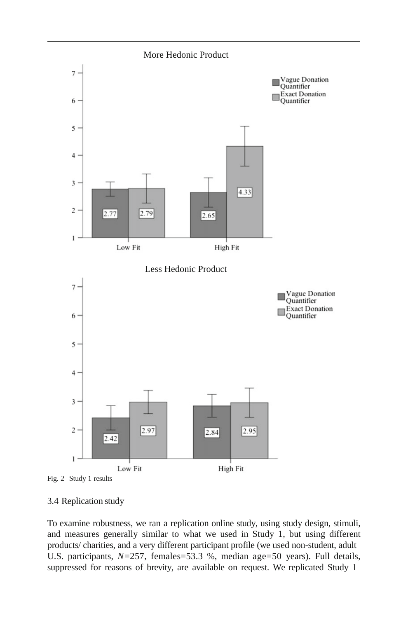<span id="page-8-0"></span>



#### 3.4 Replication study

To examine robustness, we ran a replication online study, using study design, stimuli, and measures generally similar to what we used in Study 1, but using different products/ charities, and a very different participant profile (we used non-student, adult U.S. participants,  $N=257$ , females=53.3 %, median age=50 years). Full details, suppressed for reasons of brevity, are available on request. We replicated Study 1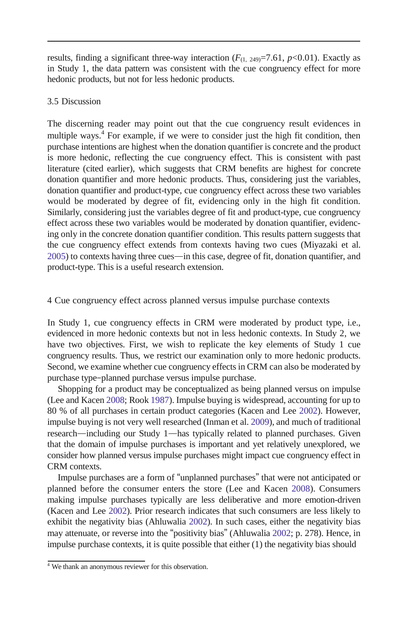results, finding a significant three-way interaction  $(F_{(1, 249)} = 7.61, p < 0.01)$ . Exactly as in Study 1, the data pattern was consistent with the cue congruency effect for more hedonic products, but not for less hedonic products.

#### 3.5 Discussion

The discerning reader may point out that the cue congruency result evidences in multiple ways.<sup>4</sup> For example, if we were to consider just the high fit condition, then purchase intentions are highest when the donation quantifier is concrete and the product is more hedonic, reflecting the cue congruency effect. This is consistent with past literature (cited earlier), which suggests that CRM benefits are highest for concrete donation quantifier and more hedonic products. Thus, considering just the variables, donation quantifier and product-type, cue congruency effect across these two variables would be moderated by degree of fit, evidencing only in the high fit condition. Similarly, considering just the variables degree of fit and product-type, cue congruency effect across these two variables would be moderated by donation quantifier, evidencing only in the concrete donation quantifier condition. This results pattern suggests that the cue congruency effect extends from contexts having two cues (Miyazaki et al. [2005\)](#page-14-6) to contexts having three cues—in this case, degree of fit, donation quantifier, and product-type. This is a useful research extension.

## 4 Cue congruency effect across planned versus impulse purchase contexts

In Study 1, cue congruency effects in CRM were moderated by product type, i.e., evidenced in more hedonic contexts but not in less hedonic contexts. In Study 2, we have two objectives. First, we wish to replicate the key elements of Study 1 cue congruency results. Thus, we restrict our examination only to more hedonic products. Second, we examine whether cue congruency effects in CRM can also be moderated by purchase type–planned purchase versus impulse purchase.

Shopping for a product may be conceptualized as being planned versus on impulse (Lee and Kacen [2008;](#page-14-20) Rook [1987\)](#page-14-21). Impulse buying is widespread, accounting for up to 80 % of all purchases in certain product categories (Kacen and Lee [2002\)](#page-14-22). However, impulse buying is not very well researched (Inman et al. [2009\)](#page-14-7), and much of traditional research—including our Study 1—has typically related to planned purchases. Given that the domain of impulse purchases is important and yet relatively unexplored, we consider how planned versus impulse purchases might impact cue congruency effect in CRM contexts.

Impulse purchases are a form of "unplanned purchases" that were not anticipated or planned before the consumer enters the store (Lee and Kacen [2008\)](#page-14-20). Consumers making impulse purchases typically are less deliberative and more emotion-driven (Kacen and Lee [2002\)](#page-14-22). Prior research indicates that such consumers are less likely to exhibit the negativity bias (Ahluwalia [2002\)](#page-14-9). In such cases, either the negativity bias may attenuate, or reverse into the "positivity bias" (Ahluwalia [2002;](#page-14-9) p. 278). Hence, in impulse purchase contexts, it is quite possible that either (1) the negativity bias should

<sup>&</sup>lt;sup>4</sup> We thank an anonymous reviewer for this observation.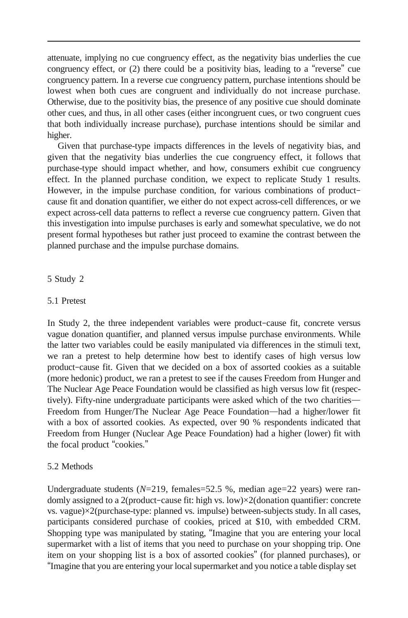attenuate, implying no cue congruency effect, as the negativity bias underlies the cue congruency effect, or (2) there could be a positivity bias, leading to a "reverse" cue congruency pattern. In a reverse cue congruency pattern, purchase intentions should be lowest when both cues are congruent and individually do not increase purchase. Otherwise, due to the positivity bias, the presence of any positive cue should dominate other cues, and thus, in all other cases (either incongruent cues, or two congruent cues that both individually increase purchase), purchase intentions should be similar and higher.

Given that purchase-type impacts differences in the levels of negativity bias, and given that the negativity bias underlies the cue congruency effect, it follows that purchase-type should impact whether, and how, consumers exhibit cue congruency effect. In the planned purchase condition, we expect to replicate Study 1 results. However, in the impulse purchase condition, for various combinations of product– cause fit and donation quantifier, we either do not expect across-cell differences, or we expect across-cell data patterns to reflect a reverse cue congruency pattern. Given that this investigation into impulse purchases is early and somewhat speculative, we do not present formal hypotheses but rather just proceed to examine the contrast between the planned purchase and the impulse purchase domains.

## 5 Study 2

## 5.1 Pretest

In Study 2, the three independent variables were product–cause fit, concrete versus vague donation quantifier, and planned versus impulse purchase environments. While the latter two variables could be easily manipulated via differences in the stimuli text, we ran a pretest to help determine how best to identify cases of high versus low product–cause fit. Given that we decided on a box of assorted cookies as a suitable (more hedonic) product, we ran a pretest to see if the causes Freedom from Hunger and The Nuclear Age Peace Foundation would be classified as high versus low fit (respectively). Fifty-nine undergraduate participants were asked which of the two charities— Freedom from Hunger/The Nuclear Age Peace Foundation—had a higher/lower fit with a box of assorted cookies. As expected, over 90 % respondents indicated that Freedom from Hunger (Nuclear Age Peace Foundation) had a higher (lower) fit with the focal product "cookies."

## 5.2 Methods

Undergraduate students ( $N=219$ , females=52.5 %, median age=22 years) were randomly assigned to a 2(product–cause fit: high vs. low)×2(donation quantifier: concrete vs. vague)×2(purchase-type: planned vs. impulse) between-subjects study. In all cases, participants considered purchase of cookies, priced at \$10, with embedded CRM. Shopping type was manipulated by stating, "Imagine that you are entering your local supermarket with a list of items that you need to purchase on your shopping trip. One item on your shopping list is a box of assorted cookies" (for planned purchases), or "Imagine that you are entering your localsupermarket and you notice a table display set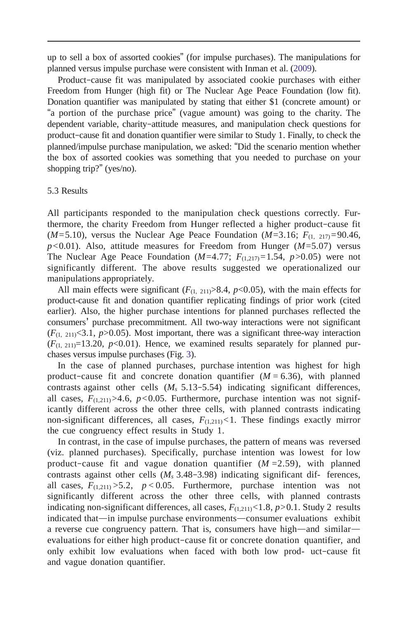up to sell a box of assorted cookies" (for impulse purchases). The manipulations for planned versus impulse purchase were consistent with Inman et al. [\(2009\)](#page-14-7).

Product–cause fit was manipulated by associated cookie purchases with either Freedom from Hunger (high fit) or The Nuclear Age Peace Foundation (low fit). Donation quantifier was manipulated by stating that either \$1 (concrete amount) or "a portion of the purchase price" (vague amount) was going to the charity. The dependent variable, charity–attitude measures, and manipulation check questions for product–cause fit and donation quantifier were similar to Study 1. Finally, to check the planned/impulse purchase manipulation, we asked: "Did the scenario mention whether the box of assorted cookies was something that you needed to purchase on your shopping trip?" (yes/no).

#### 5.3 Results

All participants responded to the manipulation check questions correctly. Furthermore, the charity Freedom from Hunger reflected a higher product–cause fit (*M*=5.10), versus the Nuclear Age Peace Foundation (*M*=3.16;  $F_{(1, 217)} = 90.46$ ,  $p$ <0.01). Also, attitude measures for Freedom from Hunger ( $M$ =5.07) versus The Nuclear Age Peace Foundation  $(M=4.77; F_{(1,217)}=1.54, p>0.05)$  were not significantly different. The above results suggested we operationalized our manipulations appropriately.

All main effects were significant  $(F_{(1, 211)} > 8.4, p < 0.05)$ , with the main effects for product-cause fit and donation quantifier replicating findings of prior work (cited earlier). Also, the higher purchase intentions for planned purchases reflected the consumers' purchase precommitment. All two-way interactions were not significant  $(F_{(1, 211)}<3.1, p>0.05)$ . Most important, there was a significant three-way interaction  $(F_{(1, 211)}=13.20, p<0.01)$ . Hence, we examined results separately for planned purchases versus impulse purchases (Fig. [3\)](#page-12-0).

In the case of planned purchases, purchase intention was highest for high product–cause fit and concrete donation quantifier  $(M = 6.36)$ , with planned contrasts against other cells  $(M_s 5.13 - 5.54)$  indicating significant differences, all cases,  $F_{(1,211)} > 4.6$ ,  $p < 0.05$ . Furthermore, purchase intention was not significantly different across the other three cells, with planned contrasts indicating non-significant differences, all cases,  $F_{(1,211)}$ <1. These findings exactly mirror the cue congruency effect results in Study 1.

In contrast, in the case of impulse purchases, the pattern of means was reversed (viz. planned purchases). Specifically, purchase intention was lowest for low product–cause fit and vague donation quantifier (*M* =2.59), with planned contrasts against other cells  $(M_s 3.48 - 3.98)$  indicating significant dif- ferences, all cases,  $F_{(1,211)} > 5.2$ ,  $p < 0.05$ . Furthermore, purchase intention was not significantly different across the other three cells, with planned contrasts indicating non-significant differences, all cases,  $F_{(1,211)} < 1.8$ ,  $p > 0.1$ . Study 2 results indicated that—in impulse purchase environments—consumer evaluations exhibit a reverse cue congruency pattern. That is, consumers have high—and similar evaluations for either high product–cause fit or concrete donation quantifier, and only exhibit low evaluations when faced with both low prod- uct–cause fit and vague donation quantifier.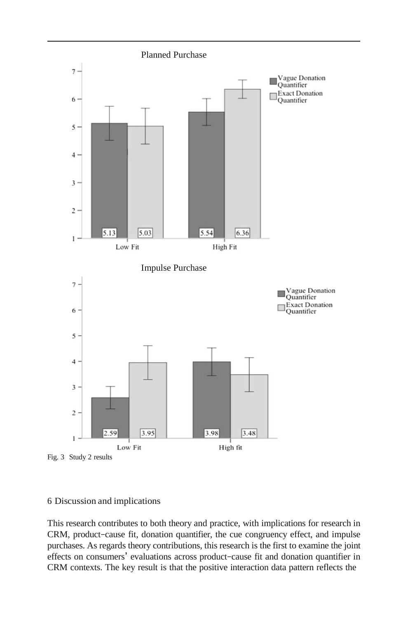<span id="page-12-0"></span>

## 6 Discussion and implications

This research contributes to both theory and practice, with implications for research in CRM, product–cause fit, donation quantifier, the cue congruency effect, and impulse purchases. As regards theory contributions, this research is the first to examine the joint effects on consumers' evaluations across product–cause fit and donation quantifier in CRM contexts. The key result is that the positive interaction data pattern reflects the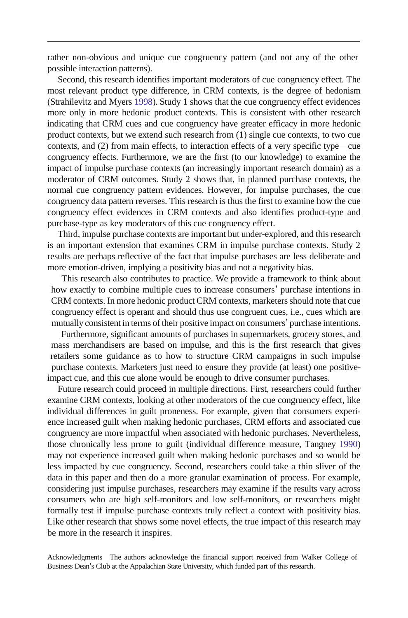rather non-obvious and unique cue congruency pattern (and not any of the other possible interaction patterns).

Second, this research identifies important moderators of cue congruency effect. The most relevant product type difference, in CRM contexts, is the degree of hedonism (Strahilevitz and Myers [1998\)](#page-14-2). Study 1 shows that the cue congruency effect evidences more only in more hedonic product contexts. This is consistent with other research indicating that CRM cues and cue congruency have greater efficacy in more hedonic product contexts, but we extend such research from (1) single cue contexts, to two cue contexts, and (2) from main effects, to interaction effects of a very specific type—cue congruency effects. Furthermore, we are the first (to our knowledge) to examine the impact of impulse purchase contexts (an increasingly important research domain) as a moderator of CRM outcomes. Study 2 shows that, in planned purchase contexts, the normal cue congruency pattern evidences. However, for impulse purchases, the cue congruency data pattern reverses. This research is thus the first to examine how the cue congruency effect evidences in CRM contexts and also identifies product-type and purchase-type as key moderators of this cue congruency effect.

Third, impulse purchase contexts are important but under-explored, and this research is an important extension that examines CRM in impulse purchase contexts. Study 2 results are perhaps reflective of the fact that impulse purchases are less deliberate and more emotion-driven, implying a positivity bias and not a negativity bias.

This research also contributes to practice. We provide a framework to think about how exactly to combine multiple cues to increase consumers' purchase intentions in CRM contexts. In more hedonic product CRM contexts, marketers should note that cue congruency effect is operant and should thus use congruent cues, i.e., cues which are mutually consistent in terms of their positive impact on consumers' purchase intentions.

Furthermore, significant amounts of purchases in supermarkets, grocery stores, and mass merchandisers are based on impulse, and this is the first research that gives retailers some guidance as to how to structure CRM campaigns in such impulse purchase contexts. Marketers just need to ensure they provide (at least) one positiveimpact cue, and this cue alone would be enough to drive consumer purchases.

Future research could proceed in multiple directions. First, researchers could further examine CRM contexts, looking at other moderators of the cue congruency effect, like individual differences in guilt proneness. For example, given that consumers experience increased guilt when making hedonic purchases, CRM efforts and associated cue congruency are more impactful when associated with hedonic purchases. Nevertheless, those chronically less prone to guilt (individual difference measure, Tangney [1990\)](#page-14-23) may not experience increased guilt when making hedonic purchases and so would be less impacted by cue congruency. Second, researchers could take a thin sliver of the data in this paper and then do a more granular examination of process. For example, considering just impulse purchases, researchers may examine if the results vary across consumers who are high self-monitors and low self-monitors, or researchers might formally test if impulse purchase contexts truly reflect a context with positivity bias. Like other research that shows some novel effects, the true impact of this research may be more in the research it inspires.

Acknowledgments The authors acknowledge the financial support received from Walker College of Business Dean's Club at the Appalachian State University, which funded part of this research.